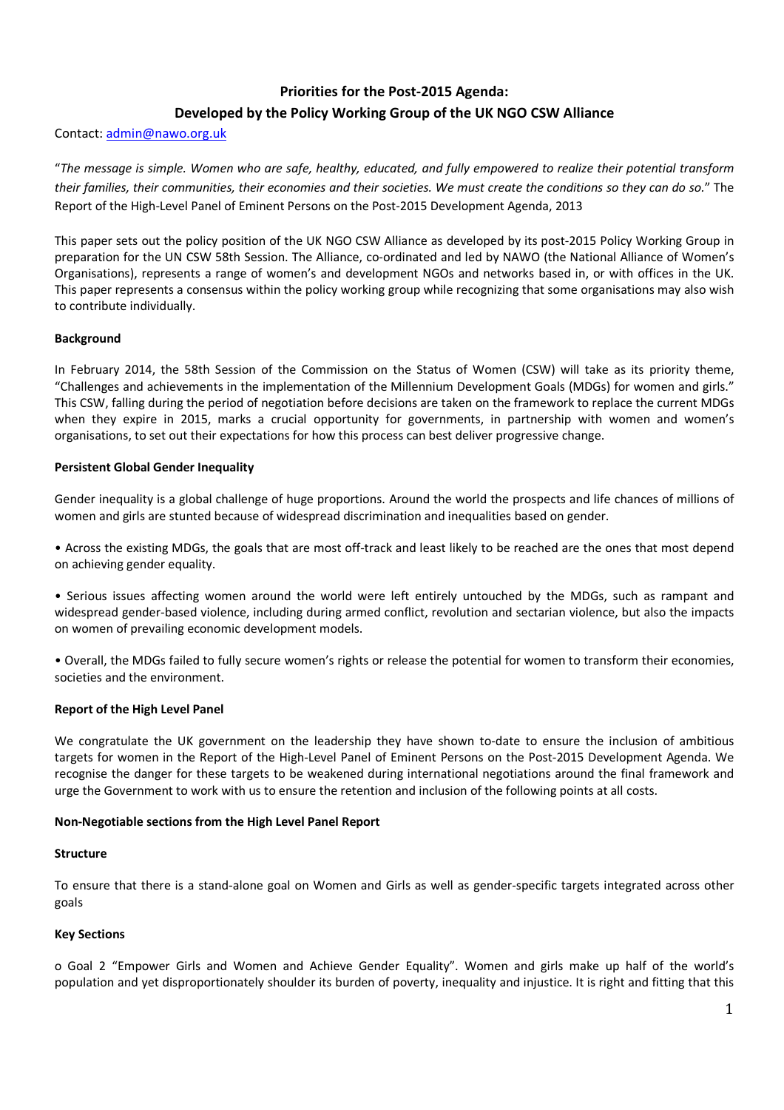## Priorities for the Post-2015 Agenda:

# Developed by the Policy Working Group of the UK NGO CSW Alliance

#### Contact: admin@nawo.org.uk

"The message is simple. Women who are safe, healthy, educated, and fully empowered to realize their potential transform their families, their communities, their economies and their societies. We must create the conditions so they can do so." The Report of the High-Level Panel of Eminent Persons on the Post-2015 Development Agenda, 2013

This paper sets out the policy position of the UK NGO CSW Alliance as developed by its post-2015 Policy Working Group in preparation for the UN CSW 58th Session. The Alliance, co-ordinated and led by NAWO (the National Alliance of Women's Organisations), represents a range of women's and development NGOs and networks based in, or with offices in the UK. This paper represents a consensus within the policy working group while recognizing that some organisations may also wish to contribute individually.

#### Background

In February 2014, the 58th Session of the Commission on the Status of Women (CSW) will take as its priority theme, "Challenges and achievements in the implementation of the Millennium Development Goals (MDGs) for women and girls." This CSW, falling during the period of negotiation before decisions are taken on the framework to replace the current MDGs when they expire in 2015, marks a crucial opportunity for governments, in partnership with women and women's organisations, to set out their expectations for how this process can best deliver progressive change.

### Persistent Global Gender Inequality

Gender inequality is a global challenge of huge proportions. Around the world the prospects and life chances of millions of women and girls are stunted because of widespread discrimination and inequalities based on gender.

• Across the existing MDGs, the goals that are most off-track and least likely to be reached are the ones that most depend on achieving gender equality.

• Serious issues affecting women around the world were left entirely untouched by the MDGs, such as rampant and widespread gender-based violence, including during armed conflict, revolution and sectarian violence, but also the impacts on women of prevailing economic development models.

• Overall, the MDGs failed to fully secure women's rights or release the potential for women to transform their economies, societies and the environment.

#### Report of the High Level Panel

We congratulate the UK government on the leadership they have shown to-date to ensure the inclusion of ambitious targets for women in the Report of the High-Level Panel of Eminent Persons on the Post-2015 Development Agenda. We recognise the danger for these targets to be weakened during international negotiations around the final framework and urge the Government to work with us to ensure the retention and inclusion of the following points at all costs.

#### Non-Negotiable sections from the High Level Panel Report

#### Structure

To ensure that there is a stand-alone goal on Women and Girls as well as gender-specific targets integrated across other goals

#### Key Sections

o Goal 2 "Empower Girls and Women and Achieve Gender Equality". Women and girls make up half of the world's population and yet disproportionately shoulder its burden of poverty, inequality and injustice. It is right and fitting that this